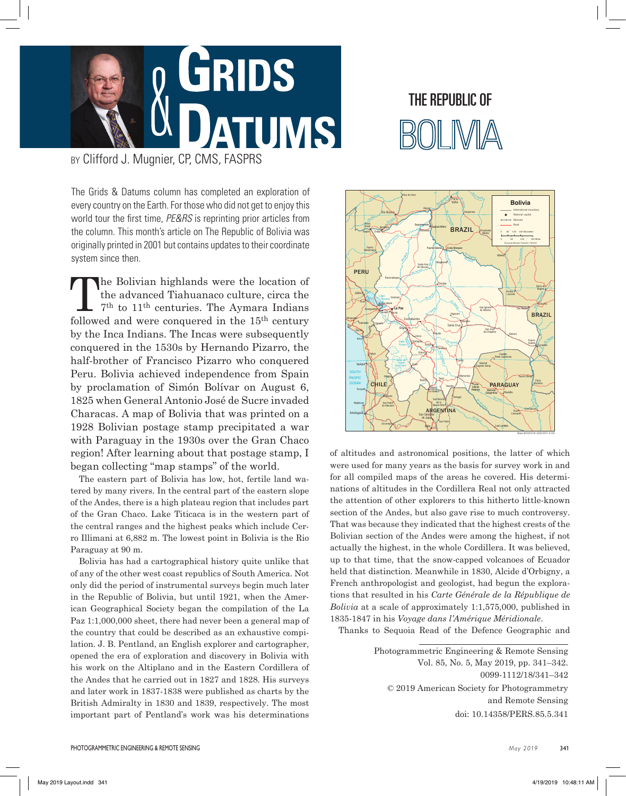

## THE REPUBLIC of

BY Clifford J. Mugnier, CP, CMS, FASPRS

The Grids & Datums column has completed an exploration of every country on the Earth. For those who did not get to enjoy this world tour the first time, *PE&RS* is reprinting prior articles from the column. This month's article on The Republic of Bolivia was originally printed in 2001 but contains updates to their coordinate system since then.

The Bolivian highlands were the location of<br>the advanced Tiahuanaco culture, circa the<br> $7<sup>th</sup>$  to  $11<sup>th</sup>$  centuries. The Aymara Indians<br>followed and were concuered in the  $15<sup>th</sup>$  century the advanced Tiahuanaco culture, circa the followed and were conquered in the 15th century by the Inca Indians. The Incas were subsequently conquered in the 1530s by Hernando Pizarro, the half-brother of Francisco Pizarro who conquered Peru. Bolivia achieved independence from Spain by proclamation of Simón Bolívar on August 6, 1825 when General Antonio José de Sucre invaded Characas. A map of Bolivia that was printed on a 1928 Bolivian postage stamp precipitated a war with Paraguay in the 1930s over the Gran Chaco region! After learning about that postage stamp, I began collecting "map stamps" of the world.

The eastern part of Bolivia has low, hot, fertile land watered by many rivers. In the central part of the eastern slope of the Andes, there is a high plateau region that includes part of the Gran Chaco. Lake Titicaca is in the western part of the central ranges and the highest peaks which include Cerro Illimani at 6,882 m. The lowest point in Bolivia is the Rio Paraguay at 90 m.

Bolivia has had a cartographical history quite unlike that of any of the other west coast republics of South America. Not only did the period of instrumental surveys begin much later in the Republic of Bolivia, but until 1921, when the American Geographical Society began the compilation of the La Paz 1:1,000,000 sheet, there had never been a general map of the country that could be described as an exhaustive compilation. J. B. Pentland, an English explorer and cartographer, opened the era of exploration and discovery in Bolivia with his work on the Altiplano and in the Eastern Cordillera of the Andes that he carried out in 1827 and 1828. His surveys and later work in 1837-1838 were published as charts by the British Admiralty in 1830 and 1839, respectively. The most important part of Pentland's work was his determinations



of altitudes and astronomical positions, the latter of which were used for many years as the basis for survey work in and for all compiled maps of the areas he covered. His determinations of altitudes in the Cordillera Real not only attracted the attention of other explorers to this hitherto little-known section of the Andes, but also gave rise to much controversy. That was because they indicated that the highest crests of the Bolivian section of the Andes were among the highest, if not actually the highest, in the whole Cordillera. It was believed, up to that time, that the snow-capped volcanoes of Ecuador held that distinction. Meanwhile in 1830, Alcide d'Orbigny, a French anthropologist and geologist, had begun the explorations that resulted in his *Carte Générale de la République de Bolivia* at a scale of approximately 1:1,575,000, published in 1835-1847 in his *Voyage dans l'Amérique Méridionale*.

Thanks to Sequoia Read of the Defence Geographic and

Photogrammetric Engineering & Remote Sensing Vol. 85, No. 5, May 2019, pp. 341–342. 0099-1112/18/341–342 © 2019 American Society for Photogrammetry and Remote Sensing doi: 10.14358/PERS.85.5.341